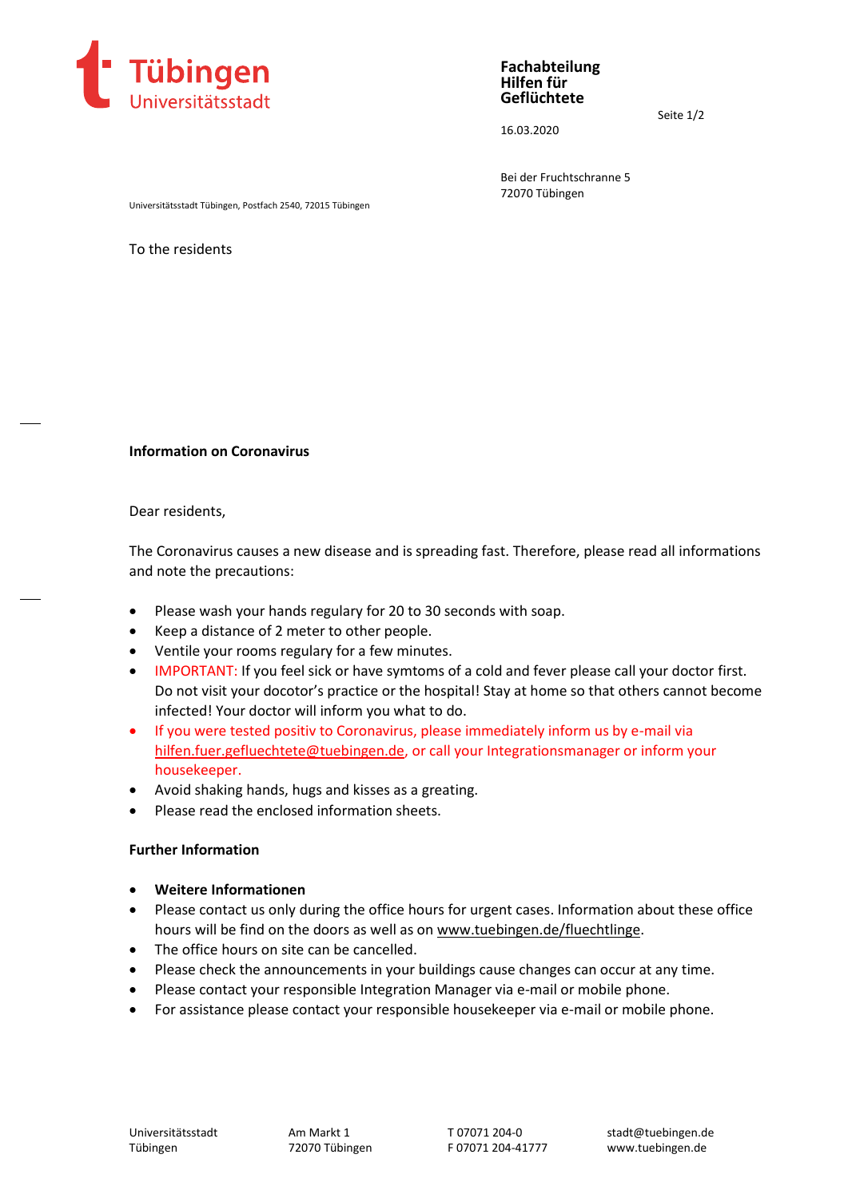

**Fachabteilung Hilfen für Geflüchtete**

16.03.2020

Seite 1/2

Bei der Fruchtschranne 5 72070 Tübingen

Universitätsstadt Tübingen, Postfach 2540, 72015 Tübingen

To the residents

## **Information on Coronavirus**

Dear residents,

The Coronavirus causes a new disease and is spreading fast. Therefore, please read all informations and note the precautions:

- Please wash your hands regulary for 20 to 30 seconds with soap.
- Keep a distance of 2 meter to other people.
- Ventile your rooms regulary for a few minutes.
- IMPORTANT: If you feel sick or have symtoms of a cold and fever please call your doctor first. Do not visit your docotor's practice or the hospital! Stay at home so that others cannot become infected! Your doctor will inform you what to do.
- If you were tested positiv to Coronavirus, please immediately inform us by e-mail via [hilfen.fuer.gefluechtete@tuebingen.de,](mailto:hilfen.fuer.gefluechtete@tuebingen.de) or call your Integrationsmanager or inform your housekeeper.
- Avoid shaking hands, hugs and kisses as a greating.
- Please read the enclosed information sheets.

## **Further Information**

- **Weitere Informationen**
- Please contact us only during the office hours for urgent cases. Information about these office hours will be find on the doors as well as on [www.tuebingen.de/fluechtlinge.](http://www.tuebingen.de/fluechtlinge)
- The office hours on site can be cancelled.
- Please check the announcements in your buildings cause changes can occur at any time.
- Please contact your responsible Integration Manager via e-mail or mobile phone.
- For assistance please contact your responsible housekeeper via e-mail or mobile phone.